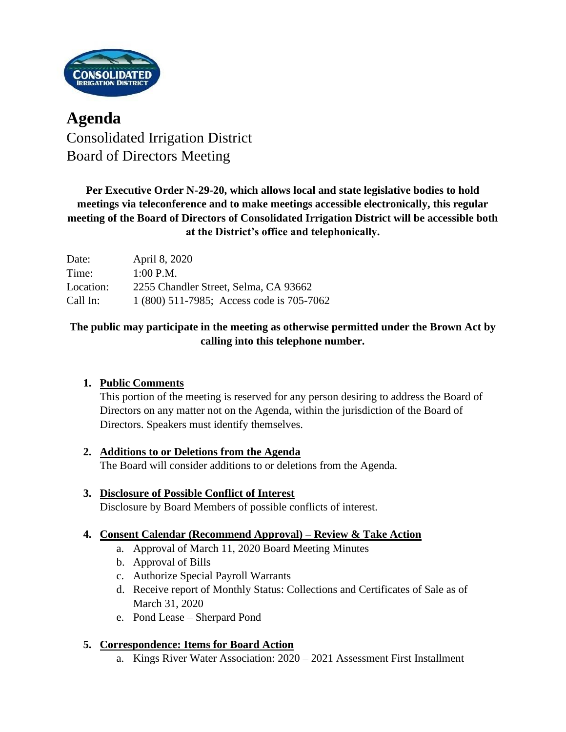

# **Agenda** Consolidated Irrigation District Board of Directors Meeting

# **Per Executive Order N-29-20, which allows local and state legislative bodies to hold meetings via teleconference and to make meetings accessible electronically, this regular meeting of the Board of Directors of Consolidated Irrigation District will be accessible both at the District's office and telephonically.**

| Date:     | April 8, 2020                             |
|-----------|-------------------------------------------|
| Time:     | $1:00$ P.M.                               |
| Location: | 2255 Chandler Street, Selma, CA 93662     |
| Call In:  | 1 (800) 511-7985; Access code is 705-7062 |

## **The public may participate in the meeting as otherwise permitted under the Brown Act by calling into this telephone number.**

# **1. Public Comments**

This portion of the meeting is reserved for any person desiring to address the Board of Directors on any matter not on the Agenda, within the jurisdiction of the Board of Directors. Speakers must identify themselves.

# **2. Additions to or Deletions from the Agenda**

The Board will consider additions to or deletions from the Agenda.

#### **3. Disclosure of Possible Conflict of Interest** Disclosure by Board Members of possible conflicts of interest.

### **4. Consent Calendar (Recommend Approval) – Review & Take Action**

- a. Approval of March 11, 2020 Board Meeting Minutes
- b. Approval of Bills
- c. Authorize Special Payroll Warrants
- d. Receive report of Monthly Status: Collections and Certificates of Sale as of March 31, 2020
- e. Pond Lease Sherpard Pond

### **5. Correspondence: Items for Board Action**

a. Kings River Water Association: 2020 – 2021 Assessment First Installment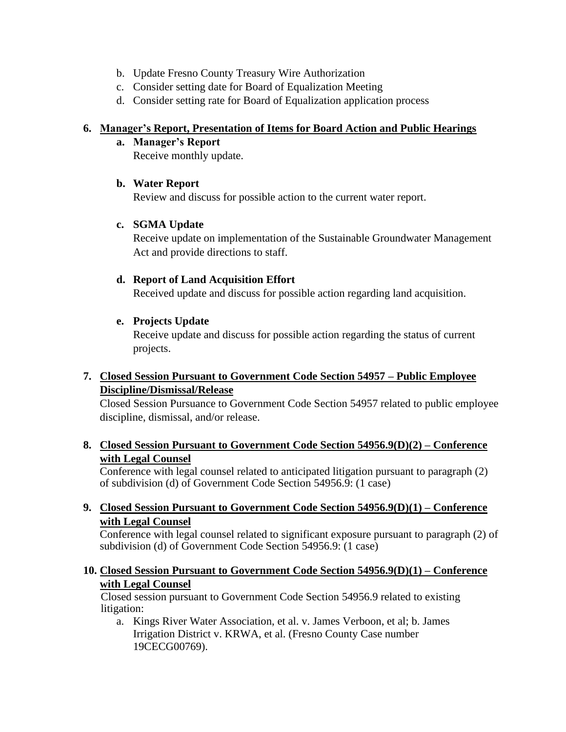- b. Update Fresno County Treasury Wire Authorization
- c. Consider setting date for Board of Equalization Meeting
- d. Consider setting rate for Board of Equalization application process

#### **6. Manager's Report, Presentation of Items for Board Action and Public Hearings**

**a. Manager's Report**

Receive monthly update.

### **b. Water Report**

Review and discuss for possible action to the current water report.

### **c. SGMA Update**

Receive update on implementation of the Sustainable Groundwater Management Act and provide directions to staff.

### **d. Report of Land Acquisition Effort**

Received update and discuss for possible action regarding land acquisition.

### **e. Projects Update**

Receive update and discuss for possible action regarding the status of current projects.

### **7. Closed Session Pursuant to Government Code Section 54957 – Public Employee Discipline/Dismissal/Release**

Closed Session Pursuance to Government Code Section 54957 related to public employee discipline, dismissal, and/or release.

### **8. Closed Session Pursuant to Government Code Section 54956.9(D)(2) – Conference with Legal Counsel**

Conference with legal counsel related to anticipated litigation pursuant to paragraph (2) of subdivision (d) of Government Code Section 54956.9: (1 case)

#### **9. Closed Session Pursuant to Government Code Section 54956.9(D)(1) – Conference with Legal Counsel**

Conference with legal counsel related to significant exposure pursuant to paragraph (2) of subdivision (d) of Government Code Section 54956.9: (1 case)

#### **10. Closed Session Pursuant to Government Code Section 54956.9(D)(1) – Conference with Legal Counsel**

Closed session pursuant to Government Code Section 54956.9 related to existing litigation:

a. Kings River Water Association, et al. v. James Verboon, et al; b. James Irrigation District v. KRWA, et al. (Fresno County Case number 19CECG00769).